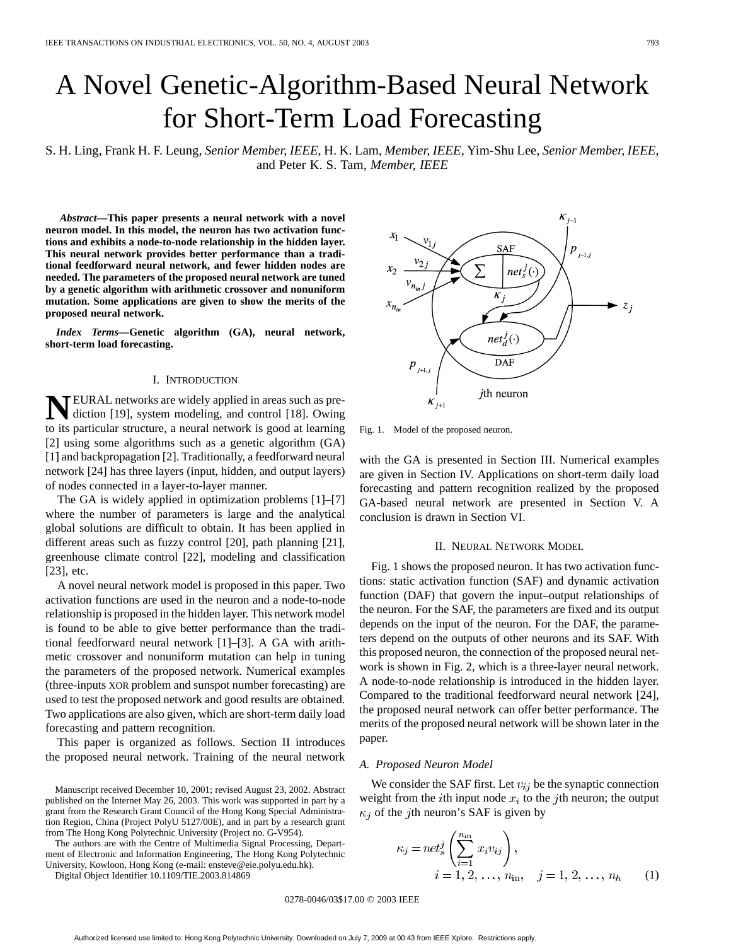# A Novel Genetic-Algorithm-Based Neural Network for Short-Term Load Forecasting

S. H. Ling, Frank H. F. Leung*, Senior Member, IEEE*, H. K. Lam*, Member, IEEE*, Yim-Shu Lee*, Senior Member, IEEE*, and Peter K. S. Tam*, Member, IEEE*

*Abstract—***This paper presents a neural network with a novel neuron model. In this model, the neuron has two activation functions and exhibits a node-to-node relationship in the hidden layer. This neural network provides better performance than a traditional feedforward neural network, and fewer hidden nodes are needed. The parameters of the proposed neural network are tuned by a genetic algorithm with arithmetic crossover and nonuniform mutation. Some applications are given to show the merits of the proposed neural network.**

*Index Terms—***Genetic algorithm (GA), neural network, short-term load forecasting.**

## I. INTRODUCTION

**TEURAL networks are widely applied in areas such as pre**diction [19], system modeling, and control [18]. Owing to its particular structure, a neural network is good at learning [2] using some algorithms such as a genetic algorithm (GA) [1] and backpropagation [2]. Traditionally, a feedforward neural network [24] has three layers (input, hidden, and output layers) of nodes connected in a layer-to-layer manner.

The GA is widely applied in optimization problems [1]–[7] where the number of parameters is large and the analytical global solutions are difficult to obtain. It has been applied in different areas such as fuzzy control [20], path planning [21], greenhouse climate control [22], modeling and classification [23], etc.

A novel neural network model is proposed in this paper. Two activation functions are used in the neuron and a node-to-node relationship is proposed in the hidden layer. This network model is found to be able to give better performance than the traditional feedforward neural network [1]–[3]. A GA with arithmetic crossover and nonuniform mutation can help in tuning the parameters of the proposed network. Numerical examples (three-inputs XOR problem and sunspot number forecasting) are used to test the proposed network and good results are obtained. Two applications are also given, which are short-term daily load forecasting and pattern recognition.

This paper is organized as follows. Section II introduces the proposed neural network. Training of the neural network

The authors are with the Centre of Multimedia Signal Processing, Department of Electronic and Information Engineering, The Hong Kong Polytechnic University, Kowloon, Hong Kong (e-mail: ensteve@eie.polyu.edu.hk).

Digital Object Identifier 10.1109/TIE.2003.814869

 $K_{j-1}$ **SAF**  $\overline{\Sigma}$  $net<sup>J</sup>_{e}(\cdot)$  $\boldsymbol{K}$  $z_j$  $net_d^J(\cdot)$  $P_{_{j+1,j}}$ **DAF** *j*th neuron  $K_{j+1}$ 

Fig. 1. Model of the proposed neuron.

with the GA is presented in Section III. Numerical examples are given in Section IV. Applications on short-term daily load forecasting and pattern recognition realized by the proposed GA-based neural network are presented in Section V. A conclusion is drawn in Section VI.

#### II. NEURAL NETWORK MODEL

Fig. 1 shows the proposed neuron. It has two activation functions: static activation function (SAF) and dynamic activation function (DAF) that govern the input–output relationships of the neuron. For the SAF, the parameters are fixed and its output depends on the input of the neuron. For the DAF, the parameters depend on the outputs of other neurons and its SAF. With this proposed neuron, the connection of the proposed neural network is shown in Fig. 2, which is a three-layer neural network. A node-to-node relationship is introduced in the hidden layer. Compared to the traditional feedforward neural network [24], the proposed neural network can offer better performance. The merits of the proposed neural network will be shown later in the paper.

#### *A. Proposed Neuron Model*

We consider the SAF first. Let  $v_{ij}$  be the synaptic connection weight from the *i*th input node  $x_i$  to the *j*th neuron; the output  $\kappa_i$  of the *j*th neuron's SAF is given by

$$
\kappa_j = net_s^j \left( \sum_{i=1}^{n_{\text{in}}} x_i v_{ij} \right),
$$
  
\n $i = 1, 2, ..., n_{\text{in}}, \quad j = 1, 2, ..., n_h$  (1)

0278-0046/03\$17.00 © 2003 IEEE

Manuscript received December 10, 2001; revised August 23, 2002. Abstract published on the Internet May 26, 2003. This work was supported in part by a grant from the Research Grant Council of the Hong Kong Special Administration Region, China (Project PolyU 5127/00E), and in part by a research grant from The Hong Kong Polytechnic University (Project no. G-V954).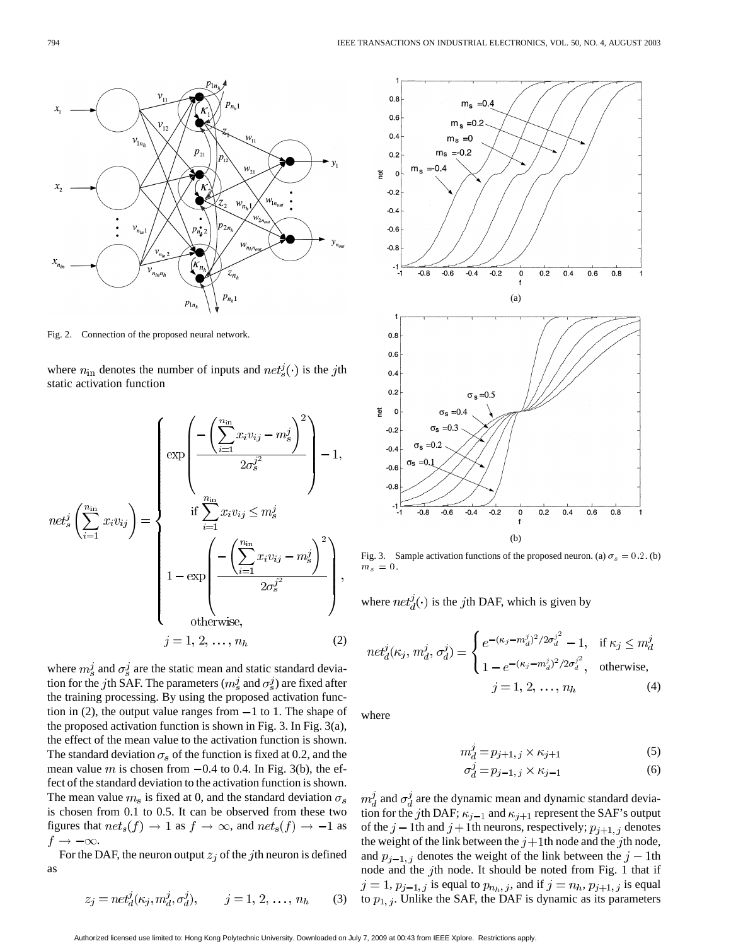

Fig. 2. Connection of the proposed neural network.

where  $n_{\text{in}}$  denotes the number of inputs and  $net_s^j(\cdot)$  is the jth static activation function

$$
net_s^j \left(\sum_{i=1}^{n_{\text{in}}} x_i v_{ij}\right) = \begin{cases} \exp\left(\frac{-\left(\sum_{i=1}^{n_{\text{in}}} x_i v_{ij} - m_s^j\right)^2}{2\sigma_s^{j^2}}\right) - 1, \\ \inf \sum_{i=1}^{n_{\text{in}}} x_i v_{ij} \leq m_s^j \\ 1 - \exp\left(\frac{-\left(\sum_{i=1}^{n_{\text{in}}} x_i v_{ij} - m_s^j\right)^2}{2\sigma_s^{j^2}}\right), \\ \text{otherwise,} \\ j = 1, 2, \dots, n_h \end{cases}
$$
 (2)

where  $m_s^j$  and  $\sigma_s^j$  are the static mean and static standard deviation for the jth SAF. The parameters ( $m_s^j$  and  $\sigma_s^j$ ) are fixed after the training processing. By using the proposed activation function in (2), the output value ranges from  $-1$  to 1. The shape of the proposed activation function is shown in Fig. 3. In Fig. 3(a), the effect of the mean value to the activation function is shown. The standard deviation  $\sigma_s$  of the function is fixed at 0.2, and the mean value m is chosen from  $-0.4$  to 0.4. In Fig. 3(b), the effect of the standard deviation to the activation function is shown. The mean value  $m_s$  is fixed at 0, and the standard deviation  $\sigma_s$ is chosen from 0.1 to 0.5. It can be observed from these two figures that  $net_s(f) \rightarrow 1$  as  $f \rightarrow \infty$ , and  $net_s(f) \rightarrow -1$  as  $f \rightarrow -\infty$ .

For the DAF, the neuron output  $z_i$  of the jth neuron is defined as

$$
z_j = net_d^j(\kappa_j, m_d^j, \sigma_d^j), \qquad j = 1, 2, \dots, n_h \qquad (3)
$$



Fig. 3. Sample activation functions of the proposed neuron. (a)  $\sigma_s = 0.2$ . (b)  $m_s = 0.$ 

where  $net_d^j(\cdot)$  is the jth DAF, which is given by

$$
net_d^j(\kappa_j, m_d^j, \sigma_d^j) = \begin{cases} e^{-(\kappa_j - m_d^j)^2 / 2\sigma_d^{j^2}} - 1, & \text{if } \kappa_j \le m_d^j\\ 1 - e^{-(\kappa_j - m_d^j)^2 / 2\sigma_d^{j^2}}, & \text{otherwise,} \end{cases}
$$
  

$$
j = 1, 2, ..., n_h
$$
 (4)

where

$$
m_d^j = p_{j+1,j} \times \kappa_{j+1} \tag{5}
$$

$$
\sigma_d^j = p_{j-1,j} \times \kappa_{j-1} \tag{6}
$$

 $m_d^j$  and  $\sigma_d^j$  are the dynamic mean and dynamic standard deviation for the j<sup>th</sup> DAF;  $\kappa_{j-1}$  and  $\kappa_{j+1}$  represent the SAF's output of the  $j-1$ th and  $j+1$ th neurons, respectively;  $p_{j+1, j}$  denotes the weight of the link between the  $j+1$ th node and the jth node, and  $p_{i-1, i}$  denotes the weight of the link between the  $j-1$ th node and the jth node. It should be noted from Fig. 1 that if  $j = 1$ ,  $p_{j-1,j}$  is equal to  $p_{n_h,j}$ , and if  $j = n_h$ ,  $p_{j+1,j}$  is equal to  $p_{1,j}$ . Unlike the SAF, the DAF is dynamic as its parameters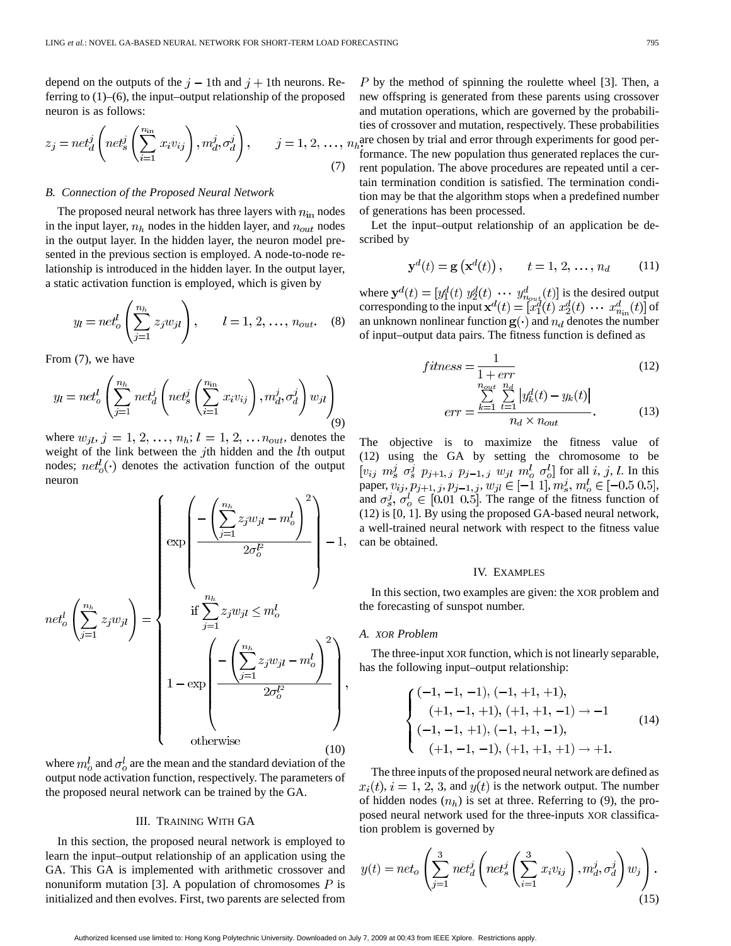depend on the outputs of the  $j-1$ th and  $j+1$ th neurons. Referring to (1)–(6), the input–output relationship of the proposed neuron is as follows:

$$
z_j = net_d^j \left( net_s^j \left( \sum_{i=1}^{n_{\text{in}}} x_i v_{ij} \right), m_d^j, \sigma_d^j \right), \qquad j = 1, 2, ..., n
$$
\n(7)

#### *B. Connection of the Proposed Neural Network*

The proposed neural network has three layers with  $n_{\rm in}$  nodes in the input layer,  $n_h$  nodes in the hidden layer, and  $n_{out}$  nodes in the output layer. In the hidden layer, the neuron model presented in the previous section is employed. A node-to-node relationship is introduced in the hidden layer. In the output layer, a static activation function is employed, which is given by

$$
y_l = net_o^l \left( \sum_{j=1}^{n_h} z_j w_{jl} \right), \qquad l = 1, 2, ..., n_{out}.
$$
 (8)

From (7), we have

$$
y_l = net_o^l \left( \sum_{j=1}^{n_h} net_d^j \left( net_s^j \left( \sum_{i=1}^{n_{\text{in}}} x_i v_{ij} \right), m_d^j, \sigma_d^j \right) w_{jl} \right) \tag{9}
$$

where  $w_{jl}, j = 1, 2, ..., n_h; l = 1, 2, ..., n_{out}$ , denotes the weight of the link between the  $j$ th hidden and the  $l$ th output nodes;  $net<sub>o</sub><sup>t</sup>(.)$  denotes the activation function of the output neuron

$$
net_o^l\left(\sum_{j=1}^{n_h} z_j w_{jl}\right) = \begin{cases} \exp\left(\frac{-\left(\sum_{j=1}^{n_h} z_j w_{jl} - m_o^l\right)^2}{2\sigma_o^{l^2}}\right) - 1, \\ \qquad \qquad \text{if } \sum_{j=1}^{n_h} z_j w_{jl} \le m_o^l \\ 1 - \exp\left(\frac{-\left(\sum_{j=1}^{n_h} z_j w_{jl} - m_o^l\right)^2}{2\sigma_o^{l^2}}\right), \\ 1 - \exp\left(\frac{-\left(\sum_{j=1}^{n_h} z_j w_{jl} - m_o^l\right)^2}{2\sigma_o^{l^2}}\right), \\ \text{otherwise} \end{cases}
$$

where  $m_o^l$  and  $\sigma_o^l$  are the mean and the standard deviation of the output node activation function, respectively. The parameters of the proposed neural network can be trained by the GA.

## III. TRAINING WITH GA

In this section, the proposed neural network is employed to learn the input–output relationship of an application using the GA. This GA is implemented with arithmetic crossover and nonuniform mutation [3]. A population of chromosomes  $P$  is initialized and then evolves. First, two parents are selected from

 $P$  by the method of spinning the roulette wheel [3]. Then, a new offspring is generated from these parents using crossover and mutation operations, which are governed by the probabilities of crossover and mutation, respectively. These probabilities are chosen by trial and error through experiments for good performance. The new population thus generated replaces the current population. The above procedures are repeated until a certain termination condition is satisfied. The termination condition may be that the algorithm stops when a predefined number of generations has been processed.

Let the input–output relationship of an application be described by

$$
\mathbf{y}^{d}(t) = \mathbf{g}\left(\mathbf{x}^{d}(t)\right), \qquad t = 1, 2, ..., n_{d} \tag{11}
$$

where  $y^d(t) = [y_1^d(t) y_2^d(t) \cdots y_{n_{\text{out}}}^d(t)]$  is the desired output corresponding to the input  $\mathbf{x}^{d}(t) = [x_1^d(t) \ x_2^d(t) \ \cdots \ x_{n_{in}}^d(t)]$  of an unknown nonlinear function  $\mathbf{g}(\cdot)$  and  $n_d$  denotes the number of input–output data pairs. The fitness function is defined as

$$
fitness = \frac{1}{1 + err}
$$
(12)

$$
err = \frac{\sum_{k=1}^{2m} \sum_{t=1}^{n} |y_k^d(t) - y_k(t)|}{n_d \times n_{out}}.
$$
 (13)

The objective is to maximize the fitness value of (12) using the GA by setting the chromosome to be for all  $i, j, l$ . In this paper,  $v_{ij}, p_{j+1, j}, p_{j-1, j}, w_{jl} \in [-1, 1], m_s^j, m_o^l \in [-0.5, 0.5],$ and  $\sigma_s^j$ ,  $\sigma_o^l \in [0.01, 0.5]$ . The range of the fitness function of (12) is [0, 1]. By using the proposed GA-based neural network, a well-trained neural network with respect to the fitness value can be obtained.

### IV. EXAMPLES

In this section, two examples are given: the XOR problem and the forecasting of sunspot number.

### *A. XOR Problem*

The three-input XOR function, which is not linearly separable, has the following input–output relationship:

$$
\begin{cases}\n(-1, -1, -1), (-1, +1, +1),\n(+1, -1, +1), (+1, +1, -1) \to -1\n(-1, -1, +1), (-1, +1, -1),\n(+1, -1, -1), (+1, +1, +1) \to +1.\n\end{cases}
$$
\n(14)

The three inputs of the proposed neural network are defined as  $x_i(t)$ ,  $i = 1, 2, 3$ , and  $y(t)$  is the network output. The number of hidden nodes  $(n_h)$  is set at three. Referring to (9), the proposed neural network used for the three-inputs XOR classification problem is governed by

$$
y(t) = net_o \left( \sum_{j=1}^{3} net_d^j \left( net_s^j \left( \sum_{i=1}^{3} x_i v_{ij} \right), m_d^j, \sigma_d^j \right) w_j \right). \tag{15}
$$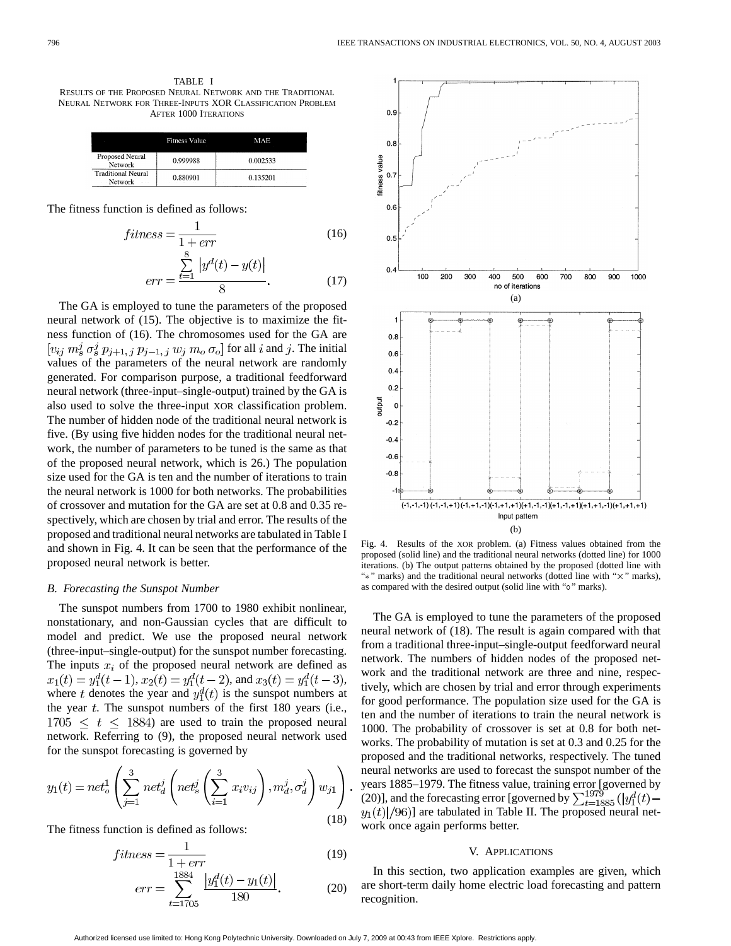|                                      | <b>Fitness Value</b> | MAE      |
|--------------------------------------|----------------------|----------|
| Proposed Neural<br>Network           | 0.999988             | 0.002533 |
| <b>Traditional Neural</b><br>Network | 0.880901             | 0.135201 |

The fitness function is defined as follows:

$$
fitness = \frac{1}{1 + err}
$$
\n<sup>(16)</sup>

$$
err = \frac{\sum_{t=1} |y^d(t) - y(t)|}{8}.
$$
 (17)

The GA is employed to tune the parameters of the proposed neural network of (15). The objective is to maximize the fitness function of (16). The chromosomes used for the GA are  $[v_{ij}$   $m_s^j$   $\sigma_s^j$   $p_{j+1, j}$   $p_{j-1, j}$   $w_j$   $m_o$   $\sigma_o$ ] for all i and j. The initial values of the parameters of the neural network are randomly generated. For comparison purpose, a traditional feedforward neural network (three-input–single-output) trained by the GA is also used to solve the three-input XOR classification problem. The number of hidden node of the traditional neural network is five. (By using five hidden nodes for the traditional neural network, the number of parameters to be tuned is the same as that of the proposed neural network, which is 26.) The population size used for the GA is ten and the number of iterations to train the neural network is 1000 for both networks. The probabilities of crossover and mutation for the GA are set at 0.8 and 0.35 respectively, which are chosen by trial and error. The results of the proposed and traditional neural networks are tabulated in Table I and shown in Fig. 4. It can be seen that the performance of the proposed neural network is better.

## *B. Forecasting the Sunspot Number*

The sunspot numbers from 1700 to 1980 exhibit nonlinear, nonstationary, and non-Gaussian cycles that are difficult to model and predict. We use the proposed neural network (three-input–single-output) for the sunspot number forecasting. The inputs  $x_i$  of the proposed neural network are defined as  $x_1(t) = y_1^d(t-1), x_2(t) = y_1^d(t-2),$  and  $x_3(t) = y_1^d(t-3),$ where t denotes the year and  $y_1^d(t)$  is the sunspot numbers at the year  $t$ . The sunspot numbers of the first 180 years (i.e.,  $1705 \le t \le 1884$ ) are used to train the proposed neural network. Referring to (9), the proposed neural network used for the sunspot forecasting is governed by

$$
y_1(t) = net_o^1 \left( \sum_{j=1}^3 net_d^j \left( net_s^j \left( \sum_{i=1}^3 x_i v_{ij} \right), m_d^j, \sigma_d^j \right) w_{j1} \right)
$$
\n(18)

The fitness function is defined as follows:

$$
fitness = \frac{1}{1 + err}
$$
(19)  

$$
err = \sum_{t=1705}^{1884} \frac{|y_1^d(t) - y_1(t)|}{180}
$$
(20)



Fig. 4. Results of the XOR problem. (a) Fitness values obtained from the proposed (solid line) and the traditional neural networks (dotted line) for 1000 iterations. (b) The output patterns obtained by the proposed (dotted line with "\*" marks) and the traditional neural networks (dotted line with "x" marks), as compared with the desired output (solid line with "o" marks).

The GA is employed to tune the parameters of the proposed neural network of (18). The result is again compared with that from a traditional three-input–single-output feedforward neural network. The numbers of hidden nodes of the proposed network and the traditional network are three and nine, respectively, which are chosen by trial and error through experiments for good performance. The population size used for the GA is ten and the number of iterations to train the neural network is 1000. The probability of crossover is set at 0.8 for both networks. The probability of mutation is set at 0.3 and 0.25 for the proposed and the traditional networks, respectively. The tuned neural networks are used to forecast the sunspot number of the years 1885–1979. The fitness value, training error [governed by (20)], and the forecasting error [governed by  $\sum_{t=1885}^{1979} (|y_1^d(t)$  $y_1(t) / (96)$ ] are tabulated in Table II. The proposed neural network once again performs better.

#### V. APPLICATIONS

In this section, two application examples are given, which are short-term daily home electric load forecasting and pattern recognition.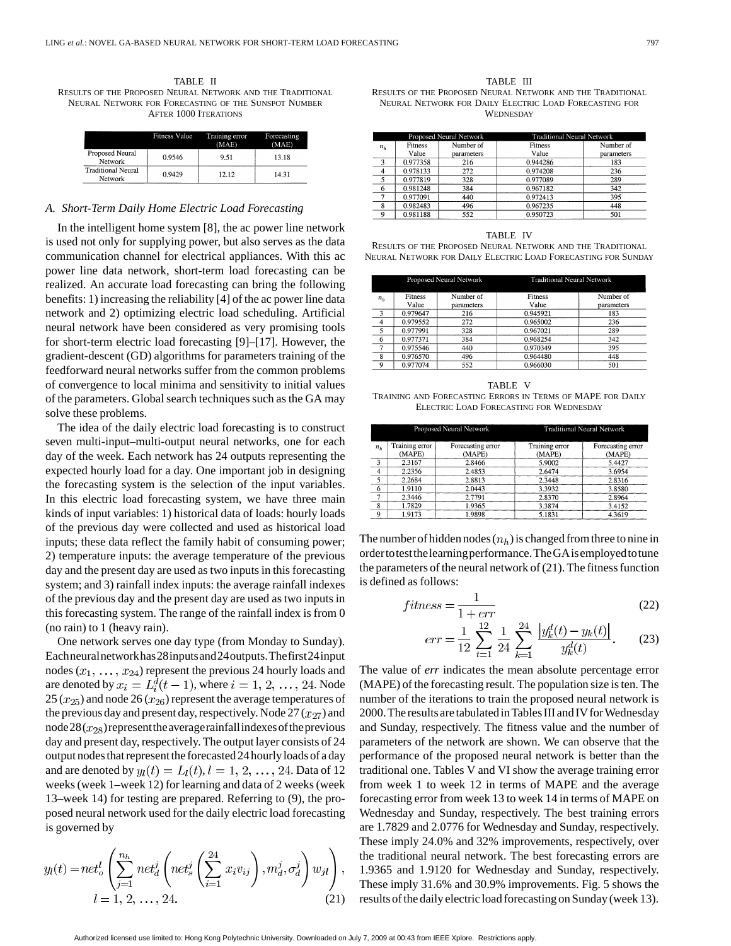TABLE II RESULTS OF THE PROPOSED NEURAL NETWORK AND THE TRADITIONAL NEURAL NETWORK FOR FORECASTING OF THE SUNSPOT NUMBER AFTER 1000 ITERATIONS

|                                      | <b>Fitness Value</b> | Training error<br>(MAE) | Forecasting<br>(MAE) |
|--------------------------------------|----------------------|-------------------------|----------------------|
| Proposed Neural<br>Network           | 0.9546               | 9.51                    | 13.18                |
| <b>Traditional Neural</b><br>Network | 0.9429               | 12.12                   | 14.31                |

### *A. Short-Term Daily Home Electric Load Forecasting*

In the intelligent home system [8], the ac power line network is used not only for supplying power, but also serves as the data communication channel for electrical appliances. With this ac power line data network, short-term load forecasting can be realized. An accurate load forecasting can bring the following benefits: 1) increasing the reliability [4] of the ac power line data network and 2) optimizing electric load scheduling. Artificial neural network have been considered as very promising tools for short-term electric load forecasting [9]–[17]. However, the gradient-descent (GD) algorithms for parameters training of the feedforward neural networks suffer from the common problems of convergence to local minima and sensitivity to initial values of the parameters. Global search techniques such as the GA may solve these problems.

The idea of the daily electric load forecasting is to construct seven multi-input–multi-output neural networks, one for each day of the week. Each network has 24 outputs representing the expected hourly load for a day. One important job in designing the forecasting system is the selection of the input variables. In this electric load forecasting system, we have three main kinds of input variables: 1) historical data of loads: hourly loads of the previous day were collected and used as historical load inputs; these data reflect the family habit of consuming power; 2) temperature inputs: the average temperature of the previous day and the present day are used as two inputs in this forecasting system; and 3) rainfall index inputs: the average rainfall indexes of the previous day and the present day are used as two inputs in this forecasting system. The range of the rainfall index is from 0 (no rain) to 1 (heavy rain).

One network serves one day type (from Monday to Sunday). Eachneuralnetworkhas28inputsand24outputs.Thefirst24input nodes  $(x_1, \ldots, x_{24})$  represent the previous 24 hourly loads and are denoted by  $x_i = L_i^d(t-1)$ , where  $i = 1, 2, ..., 24$ . Node  $25 (x_{25})$  and node  $26 (x_{26})$  represent the average temperatures of the previous day and present day, respectively. Node  $27 (x_{27})$  and node  $28(x_{28})$  represent the averager ainfall indexes of the previous day and present day, respectively. The output layer consists of 24 output nodes that represent theforecasted 24 hourlyloads of a day and are denoted by  $y_l(t) = L_l(t)$ ,  $l = 1, 2, ..., 24$ . Data of 12 weeks (week 1–week 12) for learning and data of 2 weeks (week 13–week 14) for testing are prepared. Referring to (9), the proposed neural network used for the daily electric load forecasting is governed by

$$
y_l(t) = net_o^l \left( \sum_{j=1}^{n_h} net_d^j \left( net_s^j \left( \sum_{i=1}^{24} x_i v_{ij} \right), m_d^j, \sigma_d^j \right) w_{jl} \right),
$$
  

$$
l = 1, 2, ..., 24.
$$
 (21)

TABLE III RESULTS OF THE PROPOSED NEURAL NETWORK AND THE TRADITIONAL NEURAL NETWORK FOR DAILY ELECTRIC LOAD FORECASTING FOR WEDNESDAY

| Proposed Neural Network |                 |            | <b>Traditional Neural Network</b> |            |  |
|-------------------------|-----------------|------------|-----------------------------------|------------|--|
| $n_h$                   | <b>Fitness</b>  | Number of  | Fitness                           | Number of  |  |
|                         | Value           | parameters | Value                             | parameters |  |
| 3 <sup>1</sup>          | 0.977358<br>216 |            | 0.944286                          | 183        |  |
|                         | 0.978133        | 272        | 0.974208                          | 236        |  |
|                         | 0.977819        | 328        | 0.977089                          | 289        |  |
|                         | 0.981248        | 384        | 0.967182                          | 342        |  |
|                         | 0.977091        | 440        | 0.972413                          | 395        |  |
|                         | 0.982483        | 496        | 0.967235                          | 448        |  |
|                         | 0.981188        | 552        | 0.950723                          | 501        |  |

TABLE IV RESULTS OF THE PROPOSED NEURAL NETWORK AND THE TRADITIONAL NEURAL NETWORK FOR DAILY ELECTRIC LOAD FORECASTING FOR SUNDAY

| Proposed Neural Network |                |            | <b>Traditional Neural Network</b> |            |  |
|-------------------------|----------------|------------|-----------------------------------|------------|--|
| n <sub>h</sub>          | <b>Fitness</b> | Number of  | <b>Fitness</b>                    | Number of  |  |
|                         | Value          | parameters | Value                             | parameters |  |
| $\mathbf{a}$            | 0.979647       | 216        | 0.945921                          | 183        |  |
| 4                       | 0.979552       | 272        | 0.965002                          | 236        |  |
| 5                       | 0.977991       | 328        | 0.967021                          | 289        |  |
| 6                       | 0.977371       | 384        | 0.968254                          | 342        |  |
| 7                       | 0.975546       | 440        | 0.970349                          | 395        |  |
| 8                       | 0.976570       | 496        | 0.964480                          | 448        |  |
| $\mathbf Q$             | 0.977074       | 552        | 0.966030                          | 501        |  |

TABLE V TRAINING AND FORECASTING ERRORS IN TERMS OF MAPE FOR DAILY ELECTRIC LOAD FORECASTING FOR WEDNESDAY

|       | Proposed Neural Network  |                             | <b>Traditional Neural Network</b> |                             |  |
|-------|--------------------------|-----------------------------|-----------------------------------|-----------------------------|--|
| $n_h$ | Training error<br>(MAPE) | Forecasting error<br>(MAPE) | Training error<br>(MAPE)          | Forecasting error<br>(MAPE) |  |
| 3     | 2.3167                   | 2.8466                      | 5.9002                            | 5.4427                      |  |
| 4     | 2.2356                   | 2.4853                      | 2.6474                            | 3.6954                      |  |
| 5     | 2.2684                   | 2.8813                      | 2.3448                            | 2.8316                      |  |
| 6     | 1.9110                   | 2.0443                      | 3.3932                            | 3.8580                      |  |
|       | 2.3446                   | 2.7791                      | 2.8370                            | 2.8964                      |  |
| 8     | 1.7829                   | 1.9365                      | 3.3874                            | 3.4152                      |  |
| 9     | 1.9173                   | 1.9898                      | 5.1831                            | 4.3619                      |  |

The number of hidden nodes  $(n_h)$  is changed from three to nine in ordertotestthelearningperformance.TheGAisemployedtotune the parameters of the neural network of (21). The fitness function is defined as follows:

$$
fitness = \frac{1}{1 + err} \tag{22}
$$

$$
err = \frac{1}{12} \sum_{t=1}^{12} \frac{1}{24} \sum_{k=1}^{24} \frac{\left| y_k^d(t) - y_k(t) \right|}{y_k^d(t)}.
$$
 (23)

The value of *err* indicates the mean absolute percentage error (MAPE) of the forecasting result. The population size is ten. The number of the iterations to train the proposed neural network is 2000. The results are tabulated in Tables III and IV for Wednesday and Sunday, respectively. The fitness value and the number of parameters of the network are shown. We can observe that the performance of the proposed neural network is better than the traditional one. Tables V and VI show the average training error from week 1 to week 12 in terms of MAPE and the average forecasting error from week 13 to week 14 in terms of MAPE on Wednesday and Sunday, respectively. The best training errors are 1.7829 and 2.0776 for Wednesday and Sunday, respectively. These imply 24.0% and 32% improvements, respectively, over the traditional neural network. The best forecasting errors are 1.9365 and 1.9120 for Wednesday and Sunday, respectively. These imply 31.6% and 30.9% improvements. Fig. 5 shows the results of the daily electric load forecasting on Sunday (week 13).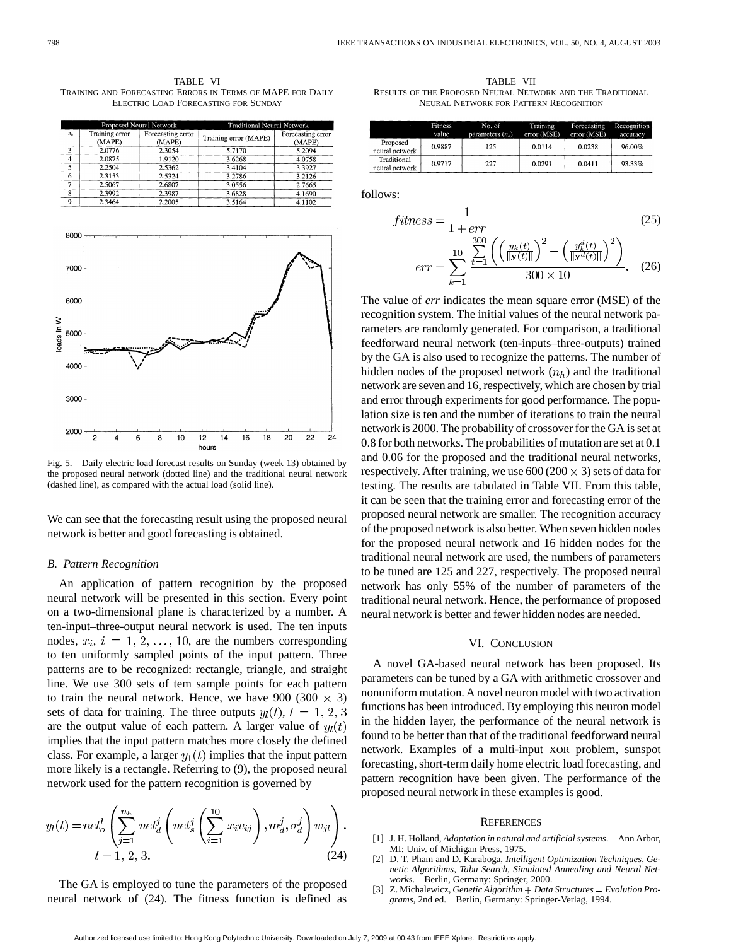TABLE VI TRAINING AND FORECASTING ERRORS IN TERMS OF MAPE FOR DAILY ELECTRIC LOAD FORECASTING FOR SUNDAY

|       |                          | Proposed Neural Network     | Traditional Neural Network |                             |  |
|-------|--------------------------|-----------------------------|----------------------------|-----------------------------|--|
| $n_h$ | Training error<br>(MAPE) | Forecasting error<br>(MAPE) | Training error (MAPE)      | Forecasting error<br>(MAPE) |  |
| 3     | 2.0776                   | 2.3054                      | 5.7170                     | 5.2094                      |  |
|       | 2.0875                   | 1.9120                      | 3.6268                     | 4.0758                      |  |
|       | 2.2504                   | 2.5362                      | 3.4104                     | 3.3927                      |  |
|       | 2.3153                   | 2.5324                      | 3.2786                     | 3.2126                      |  |
|       | 2.5067                   | 2.6807                      | 3.0556                     | 2.7665                      |  |
|       | 2.3992                   | 2.3987                      | 3.6828                     | 4.1690                      |  |
|       | 2.3464                   | 2.2005                      | 3.5164                     | 4.1102                      |  |



Fig. 5. Daily electric load forecast results on Sunday (week 13) obtained by the proposed neural network (dotted line) and the traditional neural network (dashed line), as compared with the actual load (solid line).

We can see that the forecasting result using the proposed neural network is better and good forecasting is obtained.

## *B. Pattern Recognition*

An application of pattern recognition by the proposed neural network will be presented in this section. Every point on a two-dimensional plane is characterized by a number. A ten-input–three-output neural network is used. The ten inputs nodes,  $x_i$ ,  $i = 1, 2, ..., 10$ , are the numbers corresponding to ten uniformly sampled points of the input pattern. Three patterns are to be recognized: rectangle, triangle, and straight line. We use 300 sets of tem sample points for each pattern to train the neural network. Hence, we have 900 (300  $\times$  3) sets of data for training. The three outputs  $y_l(t)$ ,  $l = 1, 2, 3$ are the output value of each pattern. A larger value of  $y_l(t)$ implies that the input pattern matches more closely the defined class. For example, a larger  $y_1(t)$  implies that the input pattern more likely is a rectangle. Referring to (9), the proposed neural network used for the pattern recognition is governed by

$$
y_l(t) = net_o^l \left( \sum_{j=1}^{n_h} net_d^j \left( net_s^j \left( \sum_{i=1}^{10} x_i v_{ij} \right), m_d^j, \sigma_d^j \right) w_{jl} \right).
$$
  

$$
l = 1, 2, 3.
$$
 (24)

The GA is employed to tune the parameters of the proposed neural network of (24). The fitness function is defined as

TABLE VII RESULTS OF THE PROPOSED NEURAL NETWORK AND THE TRADITIONAL NEURAL NETWORK FOR PATTERN RECOGNITION

|                               | <b>Fitness</b><br>value | No. of<br>parameters $(n_h)$ | Training<br>error (MSE) | Forecasting<br>error (MSE) | Recognition<br>accuracy |
|-------------------------------|-------------------------|------------------------------|-------------------------|----------------------------|-------------------------|
| Proposed<br>neural network    | 0.9887                  | 125                          | 0.0114                  | 0.0238                     | 96.00%                  |
| Traditional<br>neural network | 0.9717                  | 227                          | 0.0291                  | 0.0411                     | 93.33%                  |

follows:

$$
fitness = \frac{1}{1 + err}
$$
(25)  

$$
err = \sum_{k=1}^{10} \frac{\sum_{t=1}^{300} \left( \left( \frac{y_k(t)}{\|\mathbf{y}(t)\|} \right)^2 - \left( \frac{y_k^d(t)}{\|\mathbf{y}^d(t)\|} \right)^2 \right)}{300 \times 10}
$$
(26)

The value of *err* indicates the mean square error (MSE) of the recognition system. The initial values of the neural network parameters are randomly generated. For comparison, a traditional feedforward neural network (ten-inputs–three-outputs) trained by the GA is also used to recognize the patterns. The number of hidden nodes of the proposed network  $(n_h)$  and the traditional network are seven and 16, respectively, which are chosen by trial and error through experiments for good performance. The population size is ten and the number of iterations to train the neural network is 2000. The probability of crossover for the GA is set at 0.8 for both networks. The probabilities of mutation are set at 0.1 and 0.06 for the proposed and the traditional neural networks, respectively. After training, we use  $600 (200 \times 3)$  sets of data for testing. The results are tabulated in Table VII. From this table, it can be seen that the training error and forecasting error of the proposed neural network are smaller. The recognition accuracy of the proposed network is also better. When seven hidden nodes for the proposed neural network and 16 hidden nodes for the traditional neural network are used, the numbers of parameters to be tuned are 125 and 227, respectively. The proposed neural network has only 55% of the number of parameters of the traditional neural network. Hence, the performance of proposed neural network is better and fewer hidden nodes are needed.

## VI. CONCLUSION

A novel GA-based neural network has been proposed. Its parameters can be tuned by a GA with arithmetic crossover and nonuniform mutation. A novel neuron model with two activation functions has been introduced. By employing this neuron model in the hidden layer, the performance of the neural network is found to be better than that of the traditional feedforward neural network. Examples of a multi-input XOR problem, sunspot forecasting, short-term daily home electric load forecasting, and pattern recognition have been given. The performance of the proposed neural network in these examples is good.

#### **REFERENCES**

- [1] J. H. Holland, *Adaptation in natural and artificial systems*. Ann Arbor, MI: Univ. of Michigan Press, 1975.
- [2] D. T. Pham and D. Karaboga, *Intelligent Optimization Techniques, Genetic Algorithms, Tabu Search, Simulated Annealing and Neural Networks*. Berlin, Germany: Springer, 2000.
- [3] Z. Michalewicz, *Genetic Algorithm* + *Data Structures* = *Evolution Programs*, 2nd ed. Berlin, Germany: Springer-Verlag, 1994.